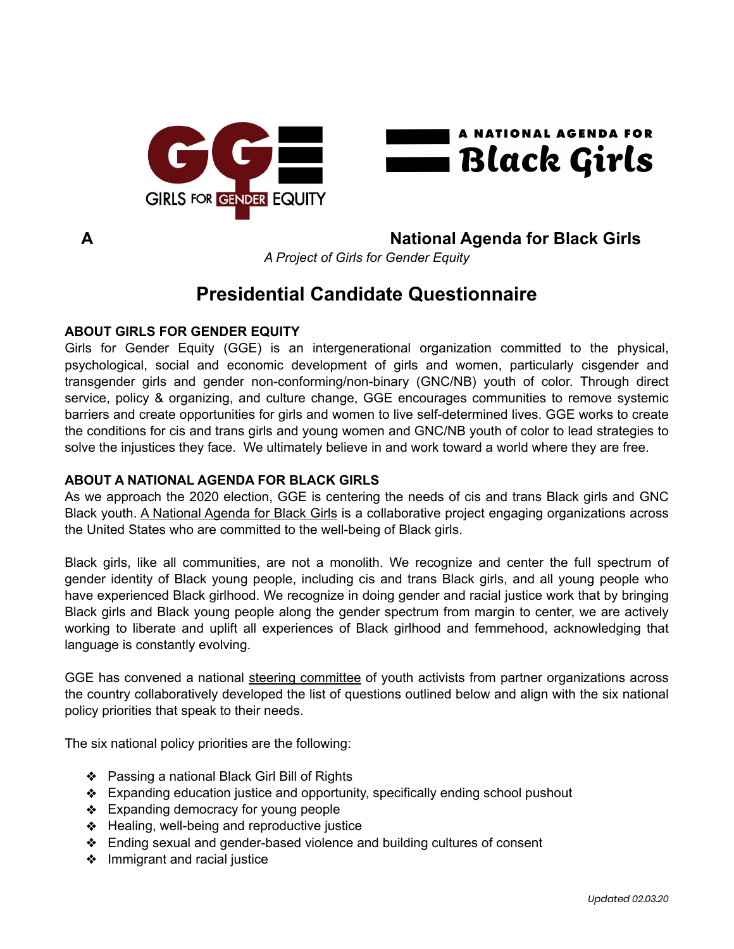



**A National Agenda for Black Girls** 

*A Project of Girls for Gender Equity* 

# **Presidential Candidate Questionnaire**

# **ABOUT GIRLS FOR GENDER EQUITY**

Girls for Gender Equity (GGE) is an intergenerational organization committed to the physical, psychological, social and economic development of girls and women, particularly cisgender and transgender girls and gender non-conforming/non-binary (GNC/NB) youth of color. Through direct service, policy & organizing, and culture change, GGE encourages communities to remove systemic barriers and create opportunities for girls and women to live self-determined lives. GGE works to create the conditions for cis and trans girls and young women and GNC/NB youth of color to lead strategies to solve the injustices they face. We ultimately believe in and work toward a world where they are free.

# **ABOUT A NATIONAL AGENDA FOR BLACK GIRLS**

As we approach the 2020 election, GGE is centering the needs of cis and trans Black girls and GNC Black youth. [A National Agenda for Black Girls](http://bit.ly/blackgirls2020) is a collaborative project engaging organizations across the United States who are committed to the well-being of Black girls.

Black girls, like all communities, are not a monolith. We recognize and center the full spectrum of gender identity of Black young people, including cis and trans Black girls, and all young people who have experienced Black girlhood. We recognize in doing gender and racial justice work that by bringing Black girls and Black young people along the gender spectrum from margin to center, we are actively working to liberate and uplift all experiences of Black girlhood and femmehood, acknowledging that language is constantly evolving.

GGE has convened a national [steering committee](https://www.ggenyc.org/wp-content/uploads/2019/11/A-National-Agenda-For-Black-Girls.html%23sc-section) of youth activists from partner organizations across the country collaboratively developed the list of questions outlined below and align with the six national policy priorities that speak to their needs.

The six national policy priorities are the following:

- ❖ Passing a national Black Girl Bill of Rights
- ❖ Expanding education justice and opportunity, specifically ending school pushout
- ❖ Expanding democracy for young people
- ❖ Healing, well-being and reproductive justice
- ❖ Ending sexual and gender-based violence and building cultures of consent
- ❖ Immigrant and racial justice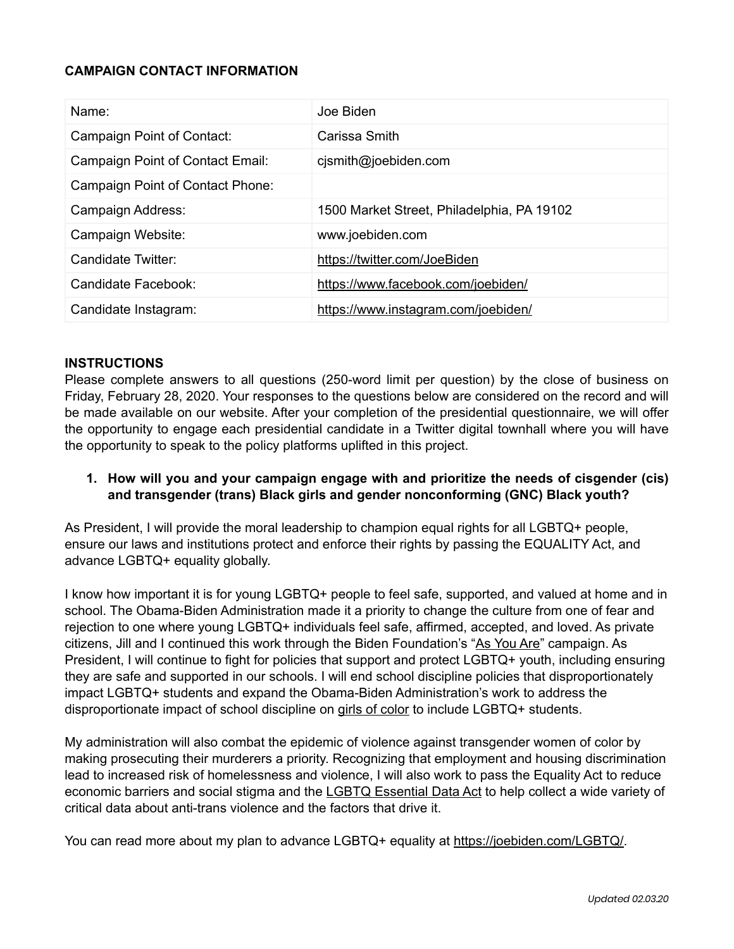#### **CAMPAIGN CONTACT INFORMATION**

| Name:                            | Joe Biden                                  |
|----------------------------------|--------------------------------------------|
| Campaign Point of Contact:       | Carissa Smith                              |
| Campaign Point of Contact Email: | cjsmith@joebiden.com                       |
| Campaign Point of Contact Phone: |                                            |
| Campaign Address:                | 1500 Market Street, Philadelphia, PA 19102 |
| Campaign Website:                | www.joebiden.com                           |
| Candidate Twitter:               | https://twitter.com/JoeBiden               |
| Candidate Facebook:              | https://www.facebook.com/joebiden/         |
| Candidate Instagram:             | https://www.instagram.com/joebiden/        |

#### **INSTRUCTIONS**

Please complete answers to all questions (250-word limit per question) by the close of business on Friday, February 28, 2020. Your responses to the questions below are considered on the record and will be made available on our website. After your completion of the presidential questionnaire, we will offer the opportunity to engage each presidential candidate in a Twitter digital townhall where you will have the opportunity to speak to the policy platforms uplifted in this project.

**1. How will you and your campaign engage with and prioritize the needs of cisgender (cis) and transgender (trans) Black girls and gender nonconforming (GNC) Black youth?**

As President, I will provide the moral leadership to champion equal rights for all LGBTQ+ people, ensure our laws and institutions protect and enforce their rights by passing the EQUALITY Act, and advance LGBTQ+ equality globally.

I know how important it is for young LGBTQ+ people to feel safe, supported, and valued at home and in school. The Obama-Biden Administration made it a priority to change the culture from one of fear and rejection to one where young LGBTQ+ individuals feel safe, affirmed, accepted, and loved. As private citizens, Jill and I continued this work through the Biden Foundation's "[As You Are"](https://archive.bidenfoundation.org/pillars/equality/asyouare/) campaign. As President, I will continue to fight for policies that support and protect LGBTQ+ youth, including ensuring they are safe and supported in our schools. I will end school discipline policies that disproportionately impact LGBTQ+ students and expand the Obama-Biden Administration's work to address the disproportionate impact of school discipline on [girls of color](https://obamawhitehouse.archives.gov/the-press-office/2015/11/13/fact-sheet-advancing-equity-women-and-girls-color) to include LGBTQ+ students.

My administration will also combat the epidemic of violence against transgender women of color by making prosecuting their murderers a priority. Recognizing that employment and housing discrimination lead to increased risk of homelessness and violence, I will also work to pass the Equality Act to reduce economic barriers and social stigma and the [LGBTQ Essential Data Act](https://www.congress.gov/bill/116th-congress/house-bill/3280?s=1&r=1) to help collect a wide variety of critical data about anti-trans violence and the factors that drive it.

You can read more about my plan to advance LGBTQ+ equality at <https://joebiden.com/LGBTQ/>.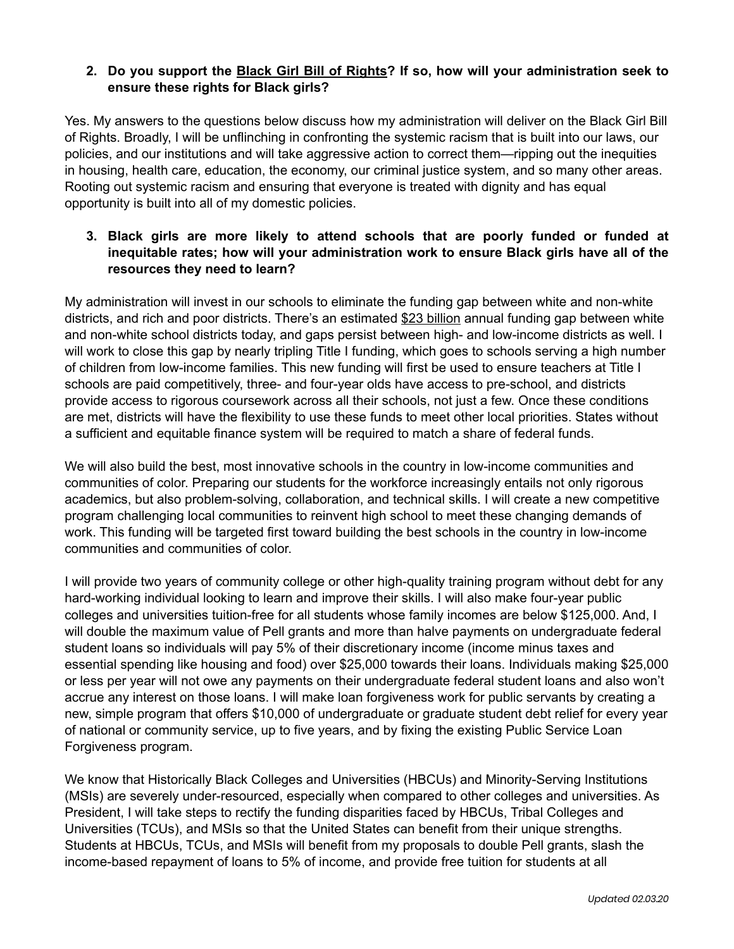## **2. Do you support the [Black Girl Bill of Rights](https://www.ggenyc.org/wp-content/uploads/2019/11/A-National-Agenda-For-Black-Girls.html%23history-section)? If so, how will your administration seek to ensure these rights for Black girls?**

Yes. My answers to the questions below discuss how my administration will deliver on the Black Girl Bill of Rights. Broadly, I will be unflinching in confronting the systemic racism that is built into our laws, our policies, and our institutions and will take aggressive action to correct them—ripping out the inequities in housing, health care, education, the economy, our criminal justice system, and so many other areas. Rooting out systemic racism and ensuring that everyone is treated with dignity and has equal opportunity is built into all of my domestic policies.

## **3. Black girls are more likely to attend schools that are poorly funded or funded at inequitable rates; how will your administration work to ensure Black girls have all of the resources they need to learn?**

My administration will invest in our schools to eliminate the funding gap between white and non-white districts, and rich and poor districts. There's an estimated [\\$23 billion](https://edbuild.org/content/23-billion) annual funding gap between white and non-white school districts today, and gaps persist between high- and low-income districts as well. I will work to close this gap by nearly tripling Title I funding, which goes to schools serving a high number of children from low-income families. This new funding will first be used to ensure teachers at Title I schools are paid competitively, three- and four-year olds have access to pre-school, and districts provide access to rigorous coursework across all their schools, not just a few. Once these conditions are met, districts will have the flexibility to use these funds to meet other local priorities. States without a sufficient and equitable finance system will be required to match a share of federal funds.

We will also build the best, most innovative schools in the country in low-income communities and communities of color. Preparing our students for the workforce increasingly entails not only rigorous academics, but also problem-solving, collaboration, and technical skills. I will create a new competitive program challenging local communities to reinvent high school to meet these changing demands of work. This funding will be targeted first toward building the best schools in the country in low-income communities and communities of color.

I will provide two years of community college or other high-quality training program without debt for any hard-working individual looking to learn and improve their skills. I will also make four-year public colleges and universities tuition-free for all students whose family incomes are below \$125,000. And, I will double the maximum value of Pell grants and more than halve payments on undergraduate federal student loans so individuals will pay 5% of their discretionary income (income minus taxes and essential spending like housing and food) over \$25,000 towards their loans. Individuals making \$25,000 or less per year will not owe any payments on their undergraduate federal student loans and also won't accrue any interest on those loans. I will make loan forgiveness work for public servants by creating a new, simple program that offers \$10,000 of undergraduate or graduate student debt relief for every year of national or community service, up to five years, and by fixing the existing Public Service Loan Forgiveness program.

We know that Historically Black Colleges and Universities (HBCUs) and Minority-Serving Institutions (MSIs) are severely under-resourced, especially when compared to other colleges and universities. As President, I will take steps to rectify the funding disparities faced by HBCUs, Tribal Colleges and Universities (TCUs), and MSIs so that the United States can benefit from their unique strengths. Students at HBCUs, TCUs, and MSIs will benefit from my proposals to double Pell grants, slash the income-based repayment of loans to 5% of income, and provide free tuition for students at all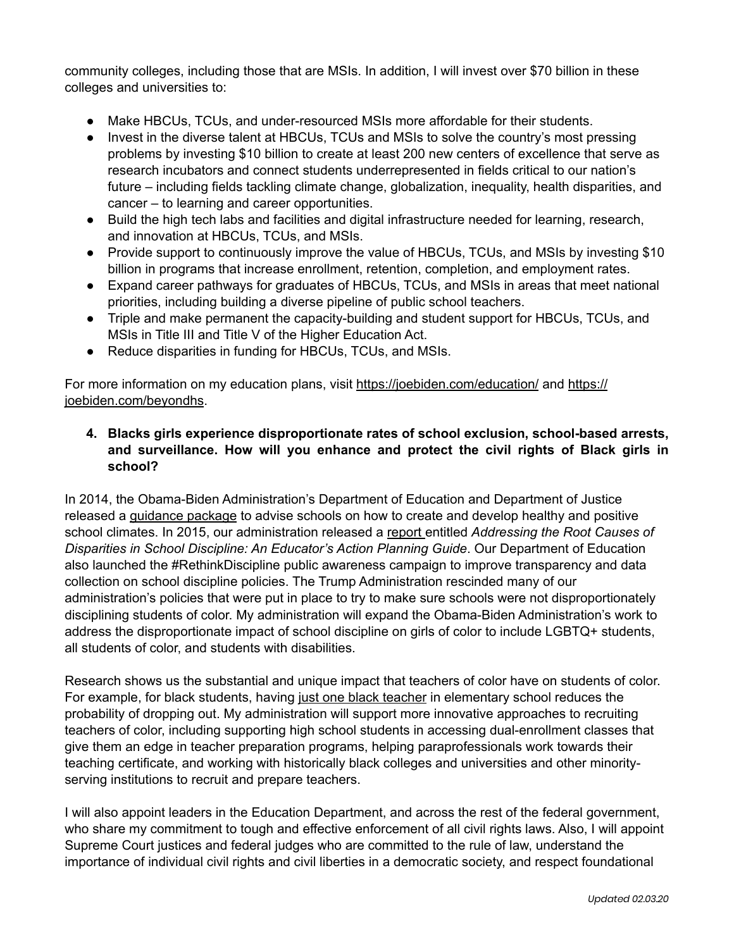community colleges, including those that are MSIs. In addition, I will invest over \$70 billion in these colleges and universities to:

- Make HBCUs, TCUs, and under-resourced MSIs more affordable for their students.
- Invest in the diverse talent at HBCUs, TCUs and MSIs to solve the country's most pressing problems by investing \$10 billion to create at least 200 new centers of excellence that serve as research incubators and connect students underrepresented in fields critical to our nation's future – including fields tackling climate change, globalization, inequality, health disparities, and cancer – to learning and career opportunities.
- Build the high tech labs and facilities and digital infrastructure needed for learning, research, and innovation at HBCUs, TCUs, and MSIs.
- Provide support to continuously improve the value of HBCUs, TCUs, and MSIs by investing \$10 billion in programs that increase enrollment, retention, completion, and employment rates.
- Expand career pathways for graduates of HBCUs, TCUs, and MSIs in areas that meet national priorities, including building a diverse pipeline of public school teachers.
- Triple and make permanent the capacity-building and student support for HBCUs, TCUs, and MSIs in Title III and Title V of the Higher Education Act.
- Reduce disparities in funding for HBCUs, TCUs, and MSIs.

For more information on my education plans, visit<https://joebiden.com/education/>and [https://](https://joebiden.com/beyondhs) [joebiden.com/beyondhs](https://joebiden.com/beyondhs).

**4. Blacks girls experience disproportionate rates of school exclusion, school-based arrests, and surveillance. How will you enhance and protect the civil rights of Black girls in school?** 

In 2014, the Obama-Biden Administration's Department of Education and Department of Justice released a [guidance package](https://www.ed.gov/news/press-releases/us-departments-education-and-justice-release-school-discipline-guidance-package-enhance-school-climate-and-improve-school-discipline-policiespractices) to advise schools on how to create and develop healthy and positive school climates. In 2015, our administration released a [report e](https://safesupportivelearning.ed.gov/sites/default/files/15-1547%2520NCSSLE%2520Root%2520Causes%2520Guide%2520FINAL02%2520mb.pdf)ntitled *Addressing the Root Causes of Disparities in School Discipline: An Educator's Action Planning Guide*. Our Department of Education also launched the #RethinkDiscipline public awareness campaign to improve transparency and data collection on school discipline policies. The Trump Administration rescinded many of our administration's policies that were put in place to try to make sure schools were not disproportionately disciplining students of color. My administration will expand the Obama-Biden Administration's work to address the disproportionate impact of school discipline on girls of color to include LGBTQ+ students, all students of color, and students with disabilities.

Research shows us the substantial and unique impact that teachers of color have on students of color. For example, for black students, having [just one black teacher](https://www.iza.org/publications/dp/10630) in elementary school reduces the probability of dropping out. My administration will support more innovative approaches to recruiting teachers of color, including supporting high school students in accessing dual-enrollment classes that give them an edge in teacher preparation programs, helping paraprofessionals work towards their teaching certificate, and working with historically black colleges and universities and other minorityserving institutions to recruit and prepare teachers.

I will also appoint leaders in the Education Department, and across the rest of the federal government, who share my commitment to tough and effective enforcement of all civil rights laws. Also, I will appoint Supreme Court justices and federal judges who are committed to the rule of law, understand the importance of individual civil rights and civil liberties in a democratic society, and respect foundational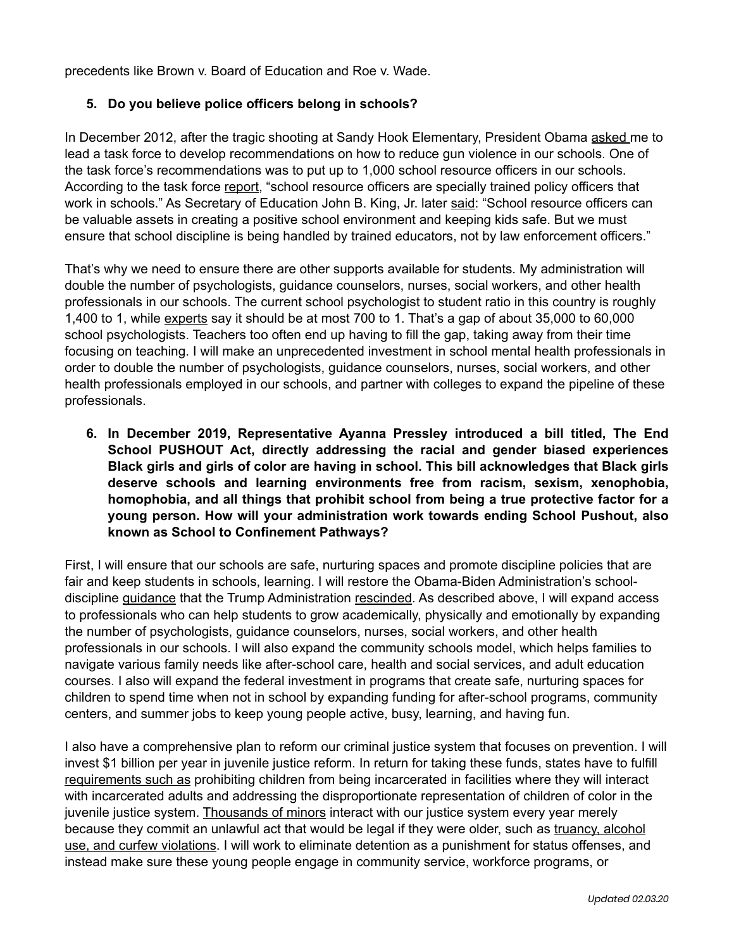precedents like Brown v. Board of Education and Roe v. Wade.

#### **5. Do you believe police officers belong in schools?**

In December 2012, after the tragic shooting at Sandy Hook Elementary, President Obama [asked m](https://www.realclearpolitics.com/articles/2012/12/19/obama_taps_biden_to_lead_gun_violence_task_force_116471.html)e to lead a task force to develop recommendations on how to reduce gun violence in our schools. One of the task force's recommendations was to put up to 1,000 school resource officers in our schools. According to the task force [report](https://obamawhitehouse.archives.gov/sites/default/files/docs/wh_now_is_the_time_full.pdf), "school resource officers are specially trained policy officers that work in schools." As Secretary of Education John B. King, Jr. later [said](https://www.justice.gov/opa/pr/obama-administration-releases-resources-schools-colleges-ensure-appropriate-use-school): "School resource officers can be valuable assets in creating a positive school environment and keeping kids safe. But we must ensure that school discipline is being handled by trained educators, not by law enforcement officers."

That's why we need to ensure there are other supports available for students. My administration will double the number of psychologists, guidance counselors, nurses, social workers, and other health professionals in our schools. The current school psychologist to student ratio in this country is roughly 1,400 to 1, while [experts](https://www.nasponline.org/) say it should be at most 700 to 1. That's a gap of about 35,000 to 60,000 school psychologists. Teachers too often end up having to fill the gap, taking away from their time focusing on teaching. I will make an unprecedented investment in school mental health professionals in order to double the number of psychologists, guidance counselors, nurses, social workers, and other health professionals employed in our schools, and partner with colleges to expand the pipeline of these professionals.

**6. In December 2019, Representative Ayanna Pressley introduced a bill titled, The End School PUSHOUT Act, directly addressing the racial and gender biased experiences Black girls and girls of color are having in school. This bill acknowledges that Black girls deserve schools and learning environments free from racism, sexism, xenophobia, homophobia, and all things that prohibit school from being a true protective factor for a young person. How will your administration work towards ending School Pushout, also known as School to Confinement Pathways?**

First, I will ensure that our schools are safe, nurturing spaces and promote discipline policies that are fair and keep students in schools, learning. I will restore the Obama-Biden Administration's schooldiscipline [guidance](https://www.ed.gov/news/press-releases/us-departments-education-and-justice-release-school-discipline-guidance-package-) that the Trump Administration [rescinded.](https://www.npr.org/2018/12/18/675556455/devos-to-rescind-obama-era-guidance-on-school-discipline) As described above, I will expand access to professionals who can help students to grow academically, physically and emotionally by expanding the number of psychologists, guidance counselors, nurses, social workers, and other health professionals in our schools. I will also expand the community schools model, which helps families to navigate various family needs like after-school care, health and social services, and adult education courses. I also will expand the federal investment in programs that create safe, nurturing spaces for children to spend time when not in school by expanding funding for after-school programs, community centers, and summer jobs to keep young people active, busy, learning, and having fun.

I also have a comprehensive plan to reform our criminal justice system that focuses on prevention. I will invest \$1 billion per year in juvenile justice reform. In return for taking these funds, states have to fulfill [requirements such as](https://crsreports.congress.gov/product/pdf/IN/IN11076) prohibiting children from being incarcerated in facilities where they will interact with incarcerated adults and addressing the disproportionate representation of children of color in the juvenile justice system. [Thousands of minors](https://www.vera.org/projects/status-offense-reform-center) interact with our justice system every year merely because they commit an unlawful act that would be legal if they were older, such as truancy, alcohol [use, and curfew violations.](https://www.vera.org/projects/status-offense-reform-center/learn-more) I will work to eliminate detention as a punishment for status offenses, and instead make sure these young people engage in community service, workforce programs, or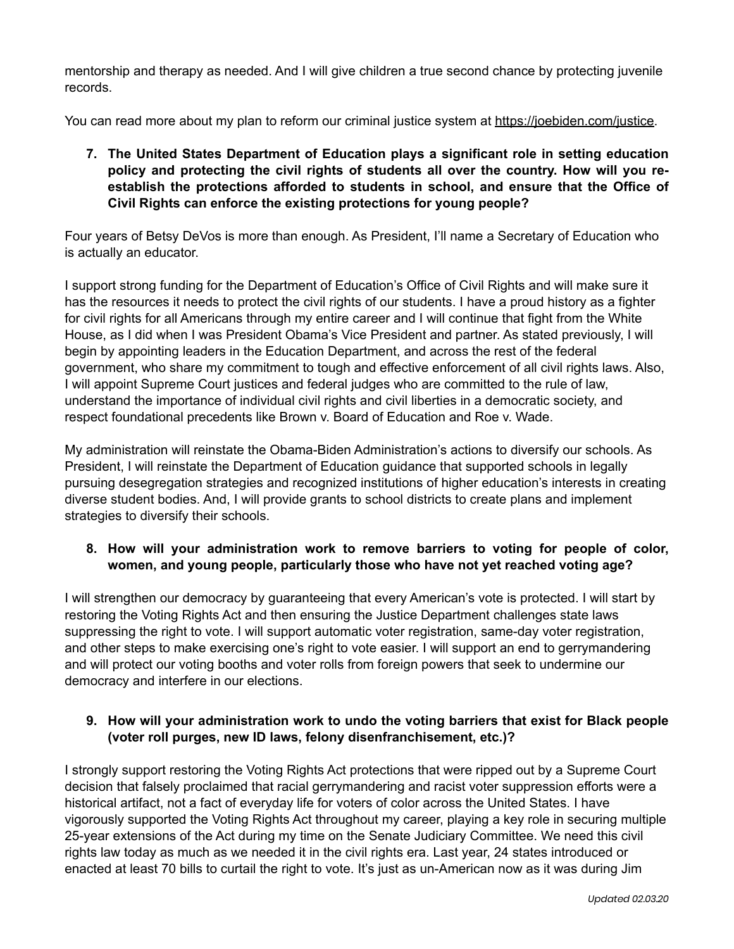mentorship and therapy as needed. And I will give children a true second chance by protecting juvenile records.

You can read more about my plan to reform our criminal justice system at [https://joebiden.com/justice.](https://joebiden.com/justice)

**7. The United States Department of Education plays a significant role in setting education policy and protecting the civil rights of students all over the country. How will you reestablish the protections afforded to students in school, and ensure that the Office of Civil Rights can enforce the existing protections for young people?**

Four years of Betsy DeVos is more than enough. As President, I'll name a Secretary of Education who is actually an educator.

I support strong funding for the Department of Education's Office of Civil Rights and will make sure it has the resources it needs to protect the civil rights of our students. I have a proud history as a fighter for civil rights for all Americans through my entire career and I will continue that fight from the White House, as I did when I was President Obama's Vice President and partner. As stated previously, I will begin by appointing leaders in the Education Department, and across the rest of the federal government, who share my commitment to tough and effective enforcement of all civil rights laws. Also, I will appoint Supreme Court justices and federal judges who are committed to the rule of law, understand the importance of individual civil rights and civil liberties in a democratic society, and respect foundational precedents like Brown v. Board of Education and Roe v. Wade.

My administration will reinstate the Obama-Biden Administration's actions to diversify our schools. As President, I will reinstate the Department of Education guidance that supported schools in legally pursuing desegregation strategies and recognized institutions of higher education's interests in creating diverse student bodies. And, I will provide grants to school districts to create plans and implement strategies to diversify their schools.

# **8. How will your administration work to remove barriers to voting for people of color, women, and young people, particularly those who have not yet reached voting age?**

I will strengthen our democracy by guaranteeing that every American's vote is protected. I will start by restoring the Voting Rights Act and then ensuring the Justice Department challenges state laws suppressing the right to vote. I will support automatic voter registration, same-day voter registration, and other steps to make exercising one's right to vote easier. I will support an end to gerrymandering and will protect our voting booths and voter rolls from foreign powers that seek to undermine our democracy and interfere in our elections.

# **9. How will your administration work to undo the voting barriers that exist for Black people (voter roll purges, new ID laws, felony disenfranchisement, etc.)?**

I strongly support restoring the Voting Rights Act protections that were ripped out by a Supreme Court decision that falsely proclaimed that racial gerrymandering and racist voter suppression efforts were a historical artifact, not a fact of everyday life for voters of color across the United States. I have vigorously supported the Voting Rights Act throughout my career, playing a key role in securing multiple 25-year extensions of the Act during my time on the Senate Judiciary Committee. We need this civil rights law today as much as we needed it in the civil rights era. Last year, 24 states introduced or enacted at least 70 bills to curtail the right to vote. It's just as un-American now as it was during Jim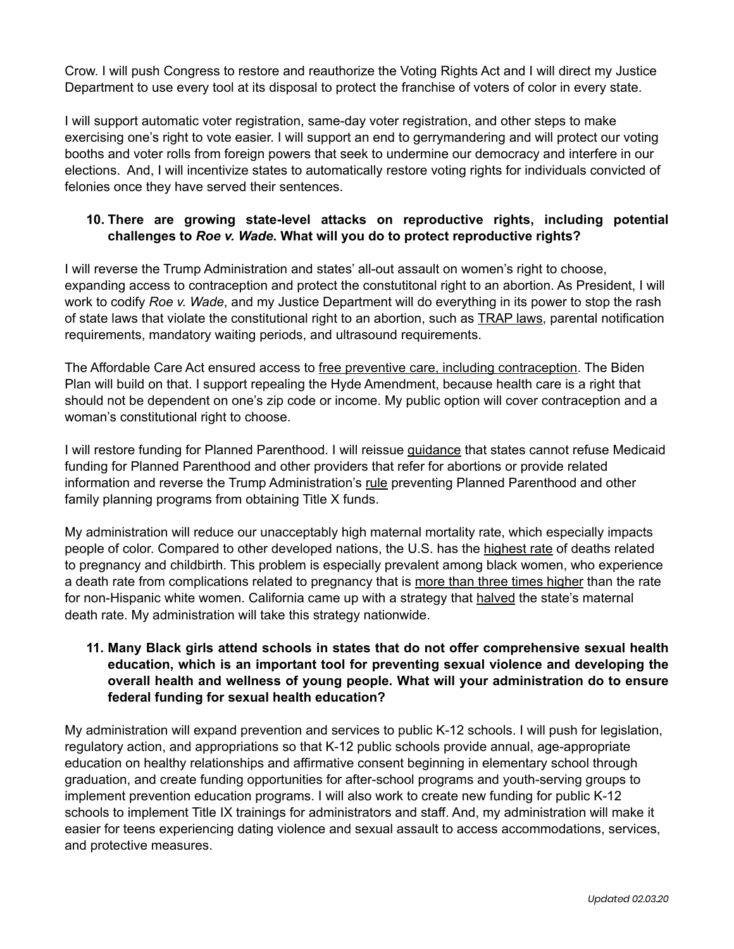Crow. I will push Congress to restore and reauthorize the Voting Rights Act and I will direct my Justice Department to use every tool at its disposal to protect the franchise of voters of color in every state.

I will support automatic voter registration, same-day voter registration, and other steps to make exercising one's right to vote easier. I will support an end to gerrymandering and will protect our voting booths and voter rolls from foreign powers that seek to undermine our democracy and interfere in our elections. And, I will incentivize states to automatically restore voting rights for individuals convicted of felonies once they have served their sentences.

# **10. There are growing state-level attacks on reproductive rights, including potential challenges to** *Roe v. Wade***. What will you do to protect reproductive rights?**

I will reverse the Trump Administration and states' all-out assault on women's right to choose, expanding access to contraception and protect the constutitonal right to an abortion. As President, I will work to codify *Roe v. Wade*, and my Justice Department will do everything in its power to stop the rash of state laws that violate the constitutional right to an abortion, such as [TRAP laws,](https://www.plannedparenthoodaction.org/issues/abortion/trap-laws) parental notification requirements, mandatory waiting periods, and ultrasound requirements.

The Affordable Care Act ensured access to [free preventive care, including contraception.](https://www.healthcare.gov/coverage/birth-control-benefits/) The Biden Plan will build on that. I support repealing the Hyde Amendment, because health care is a right that should not be dependent on one's zip code or income. My public option will cover contraception and a woman's constitutional right to choose.

I will restore funding for Planned Parenthood. I will reissue [guidance](http://ppfa.pr-optout.com/ViewAttachment.aspx?EID=mr9WXYw4u2IxYnni1dBRVlCavQUSDG%252f%252f8Pq%252bfYM8rSs%253d) that states cannot refuse Medicaid funding for Planned Parenthood and other providers that refer for abortions or provide related information and reverse the Trump Administration's [rule](https://www.hhs.gov/about/news/2019/02/22/hhs-releases-final-title-x-rule-detailing-family-planning-grant-program.html) preventing Planned Parenthood and other family planning programs from obtaining Title X funds.

My administration will reduce our unacceptably high maternal mortality rate, which especially impacts people of color. Compared to other developed nations, the U.S. has the [highest rate](https://www.thelancet.com/pdfs/journals/lancet/PIIS0140-6736(16)31470-2.pdf) of deaths related to pregnancy and childbirth. This problem is especially prevalent among black women, who experience a death rate from complications related to pregnancy that is [more than three times higher](https://www.cdc.gov/reproductivehealth/maternalinfanthealth/pregnancy-mortality-surveillance-system.htm?CDC_AA_refVal=https%253A%252F%252Fwww.cdc.gov%252Freproductivehealth%252Fmaternalinfanthealth%252Fpmss.html) than the rate for non-Hispanic white women. California came up with a strategy that [halved](https://www.healthaffairs.org/doi/abs/10.1377/hlthaff.2018.0463) the state's maternal death rate. My administration will take this strategy nationwide.

## **11. Many Black girls attend schools in states that do not offer comprehensive sexual health education, which is an important tool for preventing sexual violence and developing the overall health and wellness of young people. What will your administration do to ensure federal funding for sexual health education?**

My administration will expand prevention and services to public K-12 schools. I will push for legislation, regulatory action, and appropriations so that K-12 public schools provide annual, age-appropriate education on healthy relationships and affirmative consent beginning in elementary school through graduation, and create funding opportunities for after-school programs and youth-serving groups to implement prevention education programs. I will also work to create new funding for public K-12 schools to implement Title IX trainings for administrators and staff. And, my administration will make it easier for teens experiencing dating violence and sexual assault to access accommodations, services, and protective measures.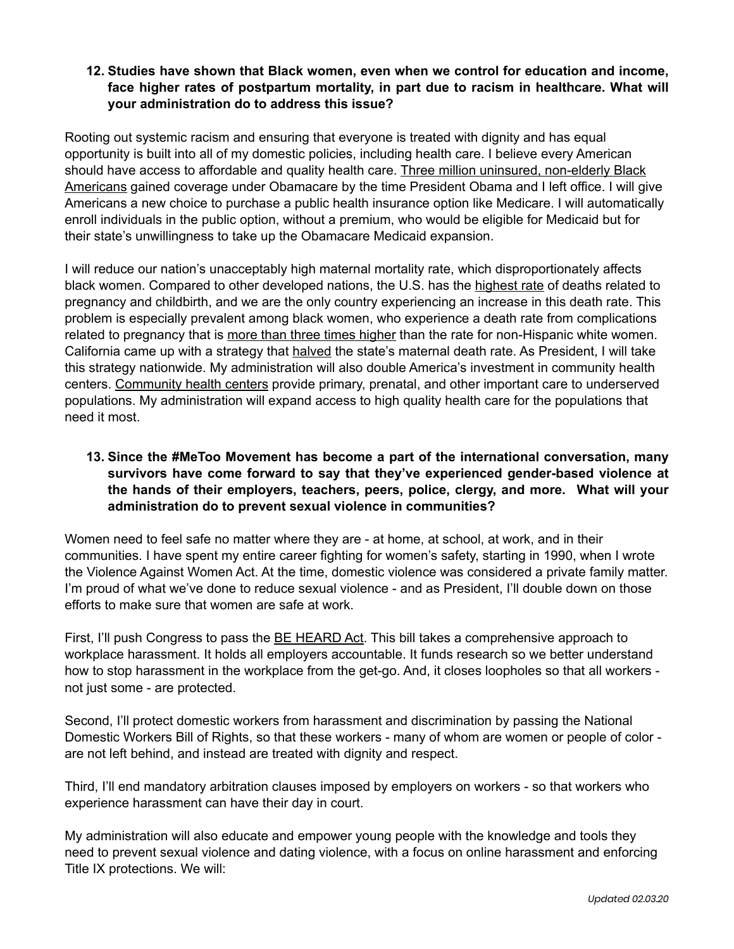### **12. Studies have shown that Black women, even when we control for education and income, face higher rates of postpartum mortality, in part due to racism in healthcare. What will your administration do to address this issue?**

Rooting out systemic racism and ensuring that everyone is treated with dignity and has equal opportunity is built into all of my domestic policies, including health care. I believe every American should have access to affordable and quality health care. [Three million uninsured, non-elderly Black](https://obamawhitehouse.archives.gov/the-press-office/2016/10/14/progress-african-american-community-during-obama-administration)  [Americans](https://obamawhitehouse.archives.gov/the-press-office/2016/10/14/progress-african-american-community-during-obama-administration) gained coverage under Obamacare by the time President Obama and I left office. I will give Americans a new choice to purchase a public health insurance option like Medicare. I will automatically enroll individuals in the public option, without a premium, who would be eligible for Medicaid but for their state's unwillingness to take up the Obamacare Medicaid expansion.

I will reduce our nation's unacceptably high maternal mortality rate, which disproportionately affects black women. Compared to other developed nations, the U.S. has the [highest rate](https://www.thelancet.com/pdfs/journals/lancet/PIIS0140-6736(16)31470-2.pdf) of deaths related to pregnancy and childbirth, and we are the only country experiencing an increase in this death rate. This problem is especially prevalent among black women, who experience a death rate from complications related to pregnancy that is [more than three times higher](https://www.cdc.gov/reproductivehealth/maternalinfanthealth/pregnancy-mortality-surveillance-system.htm?CDC_AA_refVal=https%253A%252F%252Fwww.cdc.gov%252Freproductivehealth%252Fmaternalinfanthealth%252Fpmss.html) than the rate for non-Hispanic white women. California came up with a strategy that [halved](https://www.healthaffairs.org/doi/abs/10.1377/hlthaff.2018.0463) the state's maternal death rate. As President, I will take this strategy nationwide. My administration will also double America's investment in community health centers. [Community health centers](https://www.healthcare.gov/community-health-centers/) provide primary, prenatal, and other important care to underserved populations. My administration will expand access to high quality health care for the populations that need it most.

## **13. Since the #MeToo Movement has become a part of the international conversation, many survivors have come forward to say that they've experienced gender-based violence at the hands of their employers, teachers, peers, police, clergy, and more. What will your administration do to prevent sexual violence in communities?**

Women need to feel safe no matter where they are - at home, at school, at work, and in their communities. I have spent my entire career fighting for women's safety, starting in 1990, when I wrote the Violence Against Women Act. At the time, domestic violence was considered a private family matter. I'm proud of what we've done to reduce sexual violence - and as President, I'll double down on those efforts to make sure that women are safe at work.

First, I'll push Congress to pass the **[BE HEARD Act](https://www.congress.gov/bill/116th-congress/house-bill/2148)**. This bill takes a comprehensive approach to workplace harassment. It holds all employers accountable. It funds research so we better understand how to stop harassment in the workplace from the get-go. And, it closes loopholes so that all workers not just some - are protected.

Second, I'll protect domestic workers from harassment and discrimination by passing the National Domestic Workers Bill of Rights, so that these workers - many of whom are women or people of color are not left behind, and instead are treated with dignity and respect.

Third, I'll end mandatory arbitration clauses imposed by employers on workers - so that workers who experience harassment can have their day in court.

My administration will also educate and empower young people with the knowledge and tools they need to prevent sexual violence and dating violence, with a focus on online harassment and enforcing Title IX protections. We will: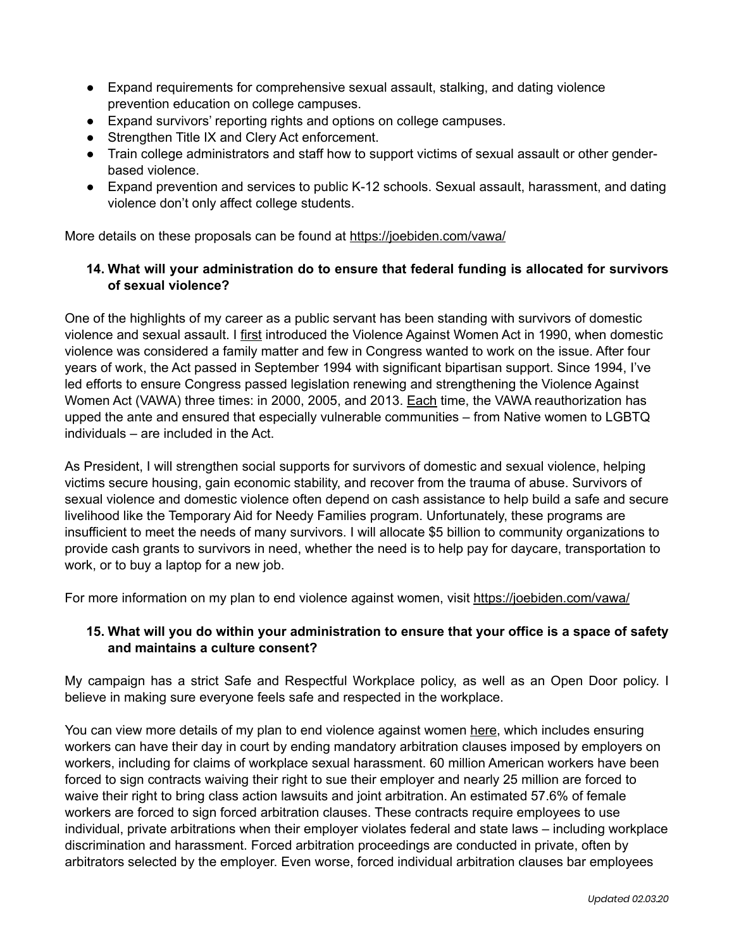- Expand requirements for comprehensive sexual assault, stalking, and dating violence prevention education on college campuses.
- Expand survivors' reporting rights and options on college campuses.
- Strengthen Title IX and Clery Act enforcement.
- Train college administrators and staff how to support victims of sexual assault or other genderbased violence.
- Expand prevention and services to public K-12 schools. Sexual assault, harassment, and dating violence don't only affect college students.

More details on these proposals can be found at <https://joebiden.com/vawa/>

## **14. What will your administration do to ensure that federal funding is allocated for survivors of sexual violence?**

One of the highlights of my career as a public servant has been standing with survivors of domestic violence and sexual assault. I [first](https://www.congress.gov/bill/101st-congress/senate-bill/2754/summary/00) introduced the Violence Against Women Act in 1990, when domestic violence was considered a family matter and few in Congress wanted to work on the issue. After four years of work, the Act passed in September 1994 with significant bipartisan support. Since 1994, I've led efforts to ensure Congress passed legislation renewing and strengthening the Violence Against Women Act (VAWA) three times: in 2000, 2005, and 2013. [Each](https://www.nytimes.com/2019/04/04/us/violence-against-women-act-reauthorization.html) time, the VAWA reauthorization has upped the ante and ensured that especially vulnerable communities – from Native women to LGBTQ individuals – are included in the Act.

As President, I will strengthen social supports for survivors of domestic and sexual violence, helping victims secure housing, gain economic stability, and recover from the trauma of abuse. Survivors of sexual violence and domestic violence often depend on cash assistance to help build a safe and secure livelihood like the Temporary Aid for Needy Families program. Unfortunately, these programs are insufficient to meet the needs of many survivors. I will allocate \$5 billion to community organizations to provide cash grants to survivors in need, whether the need is to help pay for daycare, transportation to work, or to buy a laptop for a new job.

For more information on my plan to end violence against women, visit<https://joebiden.com/vawa/>

#### **15. What will you do within your administration to ensure that your office is a space of safety and maintains a culture consent?**

My campaign has a strict Safe and Respectful Workplace policy, as well as an Open Door policy. I believe in making sure everyone feels safe and respected in the workplace.

You can view more details of my plan to end violence against women [here,](https://joebiden.com/vawa/) which includes ensuring workers can have their day in court by ending mandatory arbitration clauses imposed by employers on workers, including for claims of workplace sexual harassment. 60 million American workers have been forced to sign contracts waiving their right to sue their employer and nearly 25 million are forced to waive their right to bring class action lawsuits and joint arbitration. An estimated 57.6% of female workers are forced to sign forced arbitration clauses. These contracts require employees to use individual, private arbitrations when their employer violates federal and state laws – including workplace discrimination and harassment. Forced arbitration proceedings are conducted in private, often by arbitrators selected by the employer. Even worse, forced individual arbitration clauses bar employees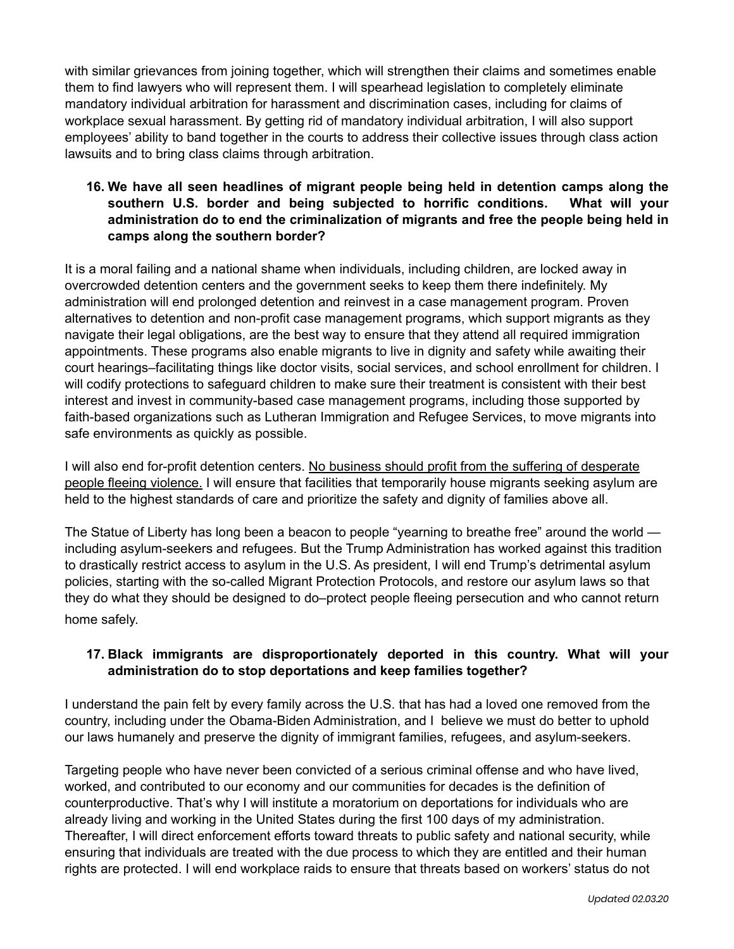with similar grievances from joining together, which will strengthen their claims and sometimes enable them to find lawyers who will represent them. I will spearhead legislation to completely eliminate mandatory individual arbitration for harassment and discrimination cases, including for claims of workplace sexual harassment. By getting rid of mandatory individual arbitration, I will also support employees' ability to band together in the courts to address their collective issues through class action lawsuits and to bring class claims through arbitration.

# **16. We have all seen headlines of migrant people being held in detention camps along the southern U.S. border and being subjected to horrific conditions. What will your administration do to end the criminalization of migrants and free the people being held in camps along the southern border?**

It is a moral failing and a national shame when individuals, including children, are locked away in overcrowded detention centers and the government seeks to keep them there indefinitely. My administration will end prolonged detention and reinvest in a case management program. Proven alternatives to detention and non-profit case management programs, which support migrants as they navigate their legal obligations, are the best way to ensure that they attend all required immigration appointments. These programs also enable migrants to live in dignity and safety while awaiting their court hearings–facilitating things like doctor visits, social services, and school enrollment for children. I will codify protections to safeguard children to make sure their treatment is consistent with their best interest and invest in community-based case management programs, including those supported by faith-based organizations such as Lutheran Immigration and Refugee Services, to move migrants into safe environments as quickly as possible.

I will also end for-profit detention centers. No business should profit from the suffering of desperate [people fleeing violence.](https://www.migrationpolicy.org/article/profiting-enforcement-role-private-prisons-us-immigration-detention) I will ensure that facilities that temporarily house migrants seeking asylum are held to the highest standards of care and prioritize the safety and dignity of families above all.

The Statue of Liberty has long been a beacon to people "yearning to breathe free" around the world including asylum-seekers and refugees. But the Trump Administration has worked against this tradition to drastically restrict access to asylum in the U.S. As president, I will end Trump's detrimental asylum policies, starting with the so-called Migrant Protection Protocols, and restore our asylum laws so that they do what they should be designed to do–protect people fleeing persecution and who cannot return home safely.

## **17. Black immigrants are disproportionately deported in this country. What will your administration do to stop deportations and keep families together?**

I understand the pain felt by every family across the U.S. that has had a loved one removed from the country, including under the Obama-Biden Administration, and I believe we must do better to uphold our laws humanely and preserve the dignity of immigrant families, refugees, and asylum-seekers.

Targeting people who have never been convicted of a serious criminal offense and who have lived, worked, and contributed to our economy and our communities for decades is the definition of counterproductive. That's why I will institute a moratorium on deportations for individuals who are already living and working in the United States during the first 100 days of my administration. Thereafter, I will direct enforcement efforts toward threats to public safety and national security, while ensuring that individuals are treated with the due process to which they are entitled and their human rights are protected. I will end workplace raids to ensure that threats based on workers' status do not